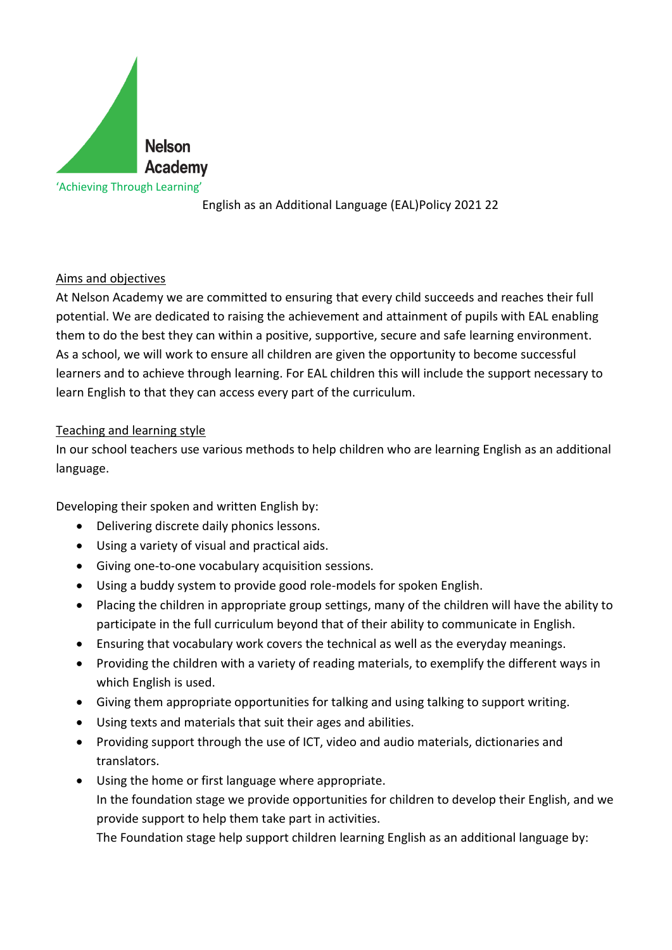

English as an Additional Language (EAL)Policy 2021 22

## Aims and objectives

At Nelson Academy we are committed to ensuring that every child succeeds and reaches their full potential. We are dedicated to raising the achievement and attainment of pupils with EAL enabling them to do the best they can within a positive, supportive, secure and safe learning environment. As a school, we will work to ensure all children are given the opportunity to become successful learners and to achieve through learning. For EAL children this will include the support necessary to learn English to that they can access every part of the curriculum.

## Teaching and learning style

In our school teachers use various methods to help children who are learning English as an additional language.

Developing their spoken and written English by:

- Delivering discrete daily phonics lessons.
- Using a variety of visual and practical aids.
- Giving one-to-one vocabulary acquisition sessions.
- Using a buddy system to provide good role-models for spoken English.
- Placing the children in appropriate group settings, many of the children will have the ability to participate in the full curriculum beyond that of their ability to communicate in English.
- Ensuring that vocabulary work covers the technical as well as the everyday meanings.
- Providing the children with a variety of reading materials, to exemplify the different ways in which English is used.
- Giving them appropriate opportunities for talking and using talking to support writing.
- Using texts and materials that suit their ages and abilities.
- Providing support through the use of ICT, video and audio materials, dictionaries and translators.
- Using the home or first language where appropriate. In the foundation stage we provide opportunities for children to develop their English, and we provide support to help them take part in activities.

The Foundation stage help support children learning English as an additional language by: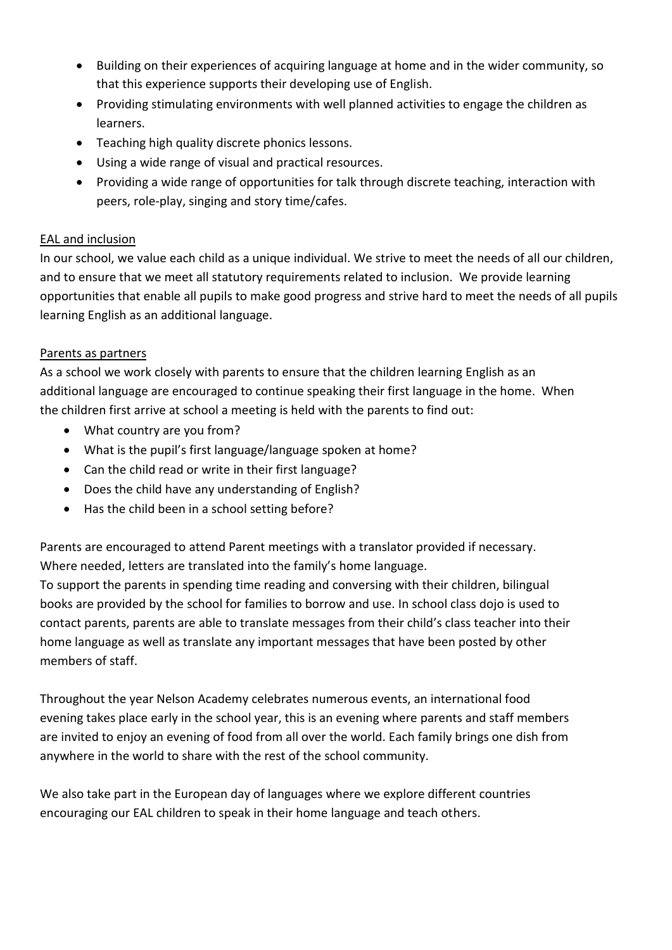- Building on their experiences of acquiring language at home and in the wider community, so that this experience supports their developing use of English.
- Providing stimulating environments with well planned activities to engage the children as learners.
- Teaching high quality discrete phonics lessons.
- Using a wide range of visual and practical resources.
- Providing a wide range of opportunities for talk through discrete teaching, interaction with peers, role-play, singing and story time/cafes.

# EAL and inclusion

In our school, we value each child as a unique individual. We strive to meet the needs of all our children, and to ensure that we meet all statutory requirements related to inclusion. We provide learning opportunities that enable all pupils to make good progress and strive hard to meet the needs of all pupils learning English as an additional language.

# Parents as partners

As a school we work closely with parents to ensure that the children learning English as an additional language are encouraged to continue speaking their first language in the home. When the children first arrive at school a meeting is held with the parents to find out:

- What country are you from?
- What is the pupil's first language/language spoken at home?
- Can the child read or write in their first language?
- Does the child have any understanding of English?
- Has the child been in a school setting before?

Parents are encouraged to attend Parent meetings with a translator provided if necessary. Where needed, letters are translated into the family's home language.

To support the parents in spending time reading and conversing with their children, bilingual books are provided by the school for families to borrow and use. In school class dojo is used to contact parents, parents are able to translate messages from their child's class teacher into their home language as well as translate any important messages that have been posted by other members of staff.

Throughout the year Nelson Academy celebrates numerous events, an international food evening takes place early in the school year, this is an evening where parents and staff members are invited to enjoy an evening of food from all over the world. Each family brings one dish from anywhere in the world to share with the rest of the school community.

We also take part in the European day of languages where we explore different countries encouraging our EAL children to speak in their home language and teach others.